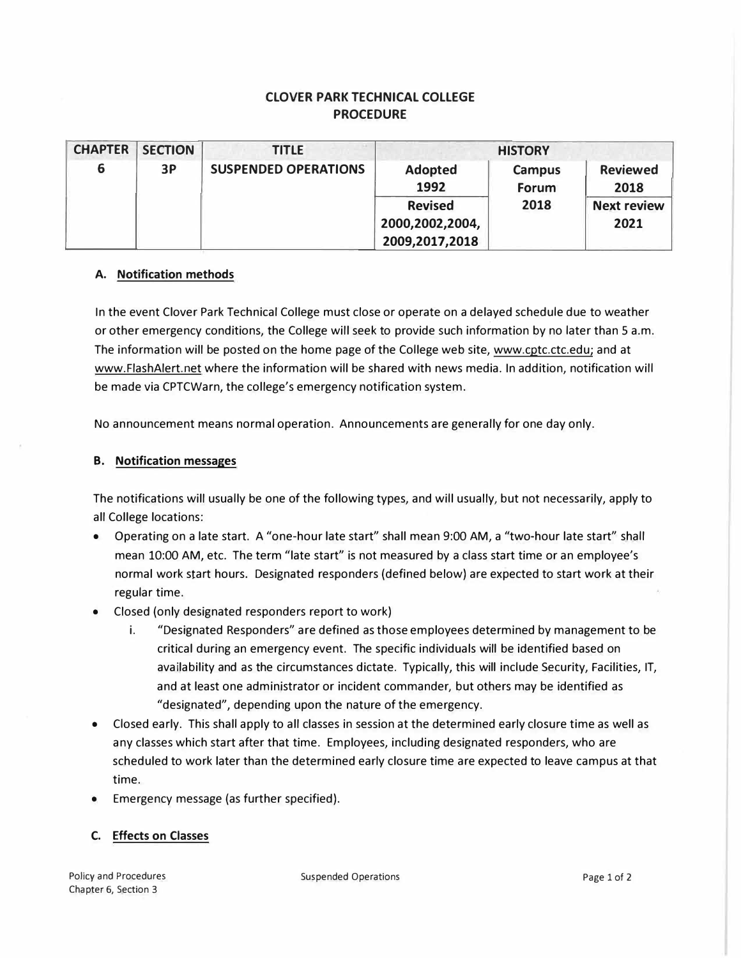# **CLOVER PARK TECHNICAL COLLEGE PROCEDURE**

| <b>CHAPTER</b> | <b>SECTION</b> | <b>TITLE</b>                |                                                                               | <b>HISTORY</b>                        |                                                       |
|----------------|----------------|-----------------------------|-------------------------------------------------------------------------------|---------------------------------------|-------------------------------------------------------|
| 6              | 3P             | <b>SUSPENDED OPERATIONS</b> | <b>Adopted</b><br>1992<br><b>Revised</b><br>2000,2002,2004,<br>2009,2017,2018 | <b>Campus</b><br><b>Forum</b><br>2018 | <b>Reviewed</b><br>2018<br><b>Next review</b><br>2021 |

#### **A. Notification methods**

In the event Clover Park Technical College must close or operate on a delayed schedule due to weather or other emergency conditions, the College will seek to provide such information by no later than 5 a.m. The information will be posted on the home page of the College web site, www.cptc.ctc.edu; and at www.FlashAlert.net where the information will be shared with news media. In addition, notification will be made via CPTCWarn, the college's emergency notification system.

No announcement means normal operation. Announcements are generally for one day only.

#### **B. Notification messages**

The notifications will usually be one of the following types, and will usually, but not necessarily, apply to all College locations:

- Operating on a late start. A "one-hour late start" shall mean 9:00 AM, a "two-hour late start" shall mean 10:00 AM, etc. The term "late start" is not measured by a class start time or an employee's normal work start hours. Designated responders (defined below) are expected to start work at their regular time.
- Closed (only designated responders report to work)
	- i. "Designated Responders" are defined as those employees determined by management to be critical during an emergency event. The specific individuals will be identified based on availability and as the circumstances dictate. Typically, this will include Security, Facilities, IT, and at least one administrator or incident commander, but others may be identified as "designated", depending upon the nature of the emergency.
- Closed early. This shall apply to all classes in session at the determined early closure time as well as any classes which start after that time. Employees, including designated responders, who are scheduled to work later than the determined early closure time are expected to leave campus at that time.
- Emergency message (as further specified).

## **C. Effects on Classes**